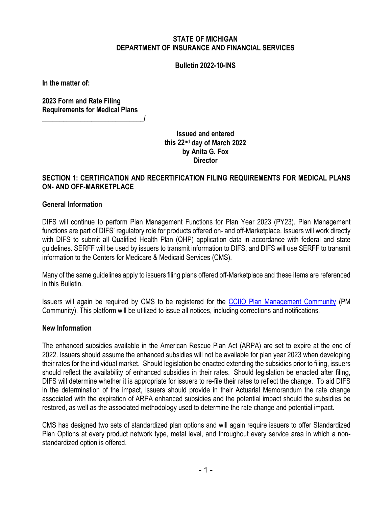### **STATE OF MICHIGAN DEPARTMENT OF INSURANCE AND FINANCIAL SERVICES**

#### **Bulletin 2022-10-INS**

**In the matter of:**

**2023 Form and Rate Filing Requirements for Medical Plans \_\_\_\_\_\_\_\_\_\_\_\_\_\_\_\_\_\_\_\_\_\_\_\_\_\_\_\_\_/**

> **Issued and entered this 22nd day of March 2022 by Anita G. Fox Director**

### **SECTION 1: CERTIFICATION AND RECERTIFICATION FILING REQUIREMENTS FOR MEDICAL PLANS ON- AND OFF-MARKETPLACE**

#### **General Information**

DIFS will continue to perform Plan Management Functions for Plan Year 2023 (PY23). Plan Management functions are part of DIFS' regulatory role for products offered on- and off-Marketplace. Issuers will work directly with DIFS to submit all Qualified Health Plan (QHP) application data in accordance with federal and state guidelines. SERFF will be used by issuers to transmit information to DIFS, and DIFS will use SERFF to transmit information to the Centers for Medicare & Medicaid Services (CMS).

Many of the same guidelines apply to issuers filing plans offered off-Marketplace and these items are referenced in this Bulletin.

Issuers will again be required by CMS to be registered for the [CCIIO Plan Management](https://www.qhpcertification.cms.gov/s/Plan%20Management%20Community) [Community](https://www.qhpcertification.cms.gov/s/Plan%20Management%20Community) (PM Community). This platform will be utilized to issue all notices, including corrections and notifications.

#### **New Information**

The enhanced subsidies available in the American Rescue Plan Act (ARPA) are set to expire at the end of 2022. Issuers should assume the enhanced subsidies will not be available for plan year 2023 when developing their rates for the individual market. Should legislation be enacted extending the subsidies prior to filing, issuers should reflect the availability of enhanced subsidies in their rates. Should legislation be enacted after filing, DIFS will determine whether it is appropriate for issuers to re-file their rates to reflect the change. To aid DIFS in the determination of the impact, issuers should provide in their Actuarial Memorandum the rate change associated with the expiration of ARPA enhanced subsidies and the potential impact should the subsidies be restored, as well as the associated methodology used to determine the rate change and potential impact.

CMS has designed two sets of standardized plan options and will again require issuers to offer Standardized Plan Options at every product network type, metal level, and throughout every service area in which a nonstandardized option is offered.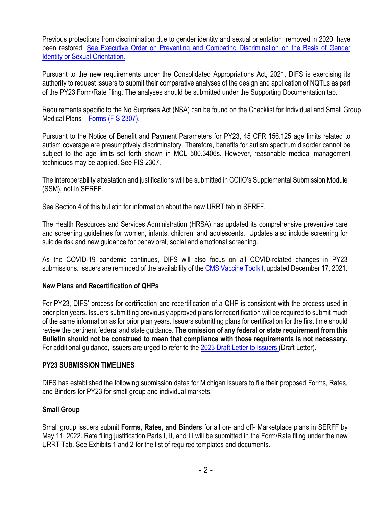Previous protections from discrimination due to gender identity and sexual orientation, removed in 2020, have been restored. See [Executive Order on Preventing and Combating Discrimination on the Basis of Gender](https://www.whitehouse.gov/briefing-room/presidential-actions/2021/01/20/executive-order-preventing-and-combating-discrimination-on-basis-of-gender-identity-or-sexual-orientation/)  [Identity or Sexual Orientation.](https://www.whitehouse.gov/briefing-room/presidential-actions/2021/01/20/executive-order-preventing-and-combating-discrimination-on-basis-of-gender-identity-or-sexual-orientation/)

Pursuant to the new requirements under the Consolidated Appropriations Act, 2021, DIFS is exercising its authority to request issuers to submit their comparative analyses of the design and application of NQTLs as part of the PY23 Form/Rate filing. The analyses should be submitted under the Supporting Documentation tab.

Requirements specific to the No Surprises Act (NSA) can be found on the Checklist for Individual and Small Group Medical Plans – [Forms \(FIS 2307\).](https://www.michigan.gov/difs/-/media/Project/Websites/difs/Form/Insurance/Insurance/FIS_2307.docx?rev=d7601beea21747828356041c1c5fc1dc)

Pursuant to the Notice of Benefit and Payment Parameters for PY23, 45 CFR 156.125 age limits related to autism coverage are presumptively discriminatory. Therefore, benefits for autism spectrum disorder cannot be subject to the age limits set forth shown in MCL 500.3406s. However, reasonable medical management techniques may be applied. See FIS 2307.

The interoperability attestation and justifications will be submitted in CCIIO's Supplemental Submission Module (SSM), not in SERFF.

See Section 4 of this bulletin for information about the new URRT tab in SERFF.

The Health Resources and Services Administration (HRSA) has updated its comprehensive preventive care and screening guidelines for women, infants, children, and adolescents. Updates also include screening for suicide risk and new guidance for behavioral, social and emotional screening.

As the COVID-19 pandemic continues, DIFS will also focus on all COVID-related changes in PY23 submissions. Issuers are reminded of the availability of th[e CMS Vaccine Toolkit,](https://www.cms.gov/files/document/COVID-19-toolkit-issuers-MA-plans.pdf) updated December 17, 2021.

### **New Plans and Recertification of QHPs**

For PY23, DIFS' process for certification and recertification of a QHP is consistent with the process used in prior plan years. Issuers submitting previously approved plans for recertification will be required to submit much of the same information as for prior plan years. Issuers submitting plans for certification for the first time should review the pertinent federal and state guidance. **The omission of any federal or state requirement from this Bulletin should not be construed to mean that compliance with those requirements is not necessary.** For additional guidance, issuers are urged to refer to the [2023 Draft Letter to Issuers \(](https://www.cms.gov/files/document/2023-draft-letter-issuers-508.pdf)Draft Letter).

### **PY23 SUBMISSION TIMELINES**

DIFS has established the following submission dates for Michigan issuers to file their proposed Forms, Rates, and Binders for PY23 for small group and individual markets:

### **Small Group**

Small group issuers submit **Forms, Rates, and Binders** for all on- and off- Marketplace plans in SERFF by May 11, 2022. Rate filing justification Parts I, II, and III will be submitted in the Form/Rate filing under the new URRT Tab. See Exhibits 1 and 2 for the list of required templates and documents.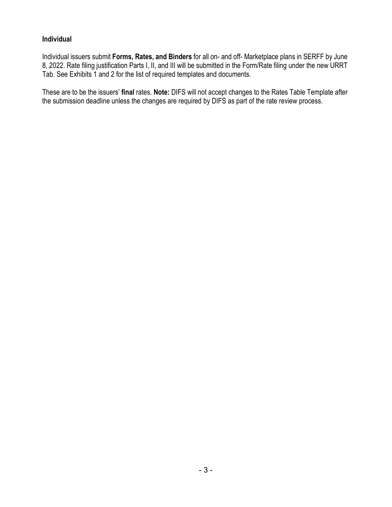### **Individual**

Individual issuers submit **Forms, Rates, and Binders** for all on- and off- Marketplace plans in SERFF by June 8, 2022. Rate filing justification Parts I, II, and III will be submitted in the Form/Rate filing under the new URRT Tab. See Exhibits 1 and 2 for the list of required templates and documents.

These are to be the issuers' **final** rates. **Note:** DIFS will not accept changes to the Rates Table Template after the submission deadline unless the changes are required by DIFS as part of the rate review process.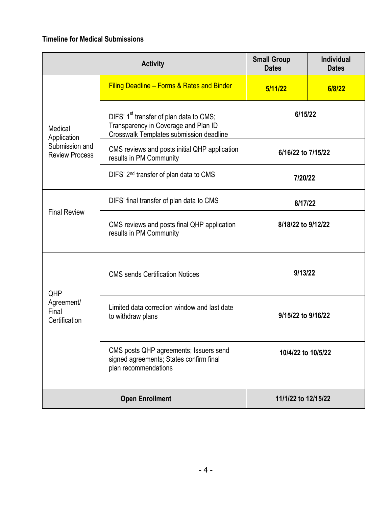# **Timeline for Medical Submissions**

| <b>Activity</b>                                                   |                                                                                                                                        | <b>Small Group</b><br><b>Dates</b> | <b>Individual</b><br><b>Dates</b> |
|-------------------------------------------------------------------|----------------------------------------------------------------------------------------------------------------------------------------|------------------------------------|-----------------------------------|
|                                                                   | Filing Deadline - Forms & Rates and Binder                                                                                             | 5/11/22                            | 6/8/22                            |
| Medical<br>Application<br>Submission and<br><b>Review Process</b> | DIFS' 1 <sup>st</sup> transfer of plan data to CMS;<br>Transparency in Coverage and Plan ID<br>Crosswalk Templates submission deadline | 6/15/22                            |                                   |
|                                                                   | CMS reviews and posts initial QHP application<br>results in PM Community                                                               | 6/16/22 to 7/15/22                 |                                   |
|                                                                   | DIFS' 2 <sup>nd</sup> transfer of plan data to CMS                                                                                     | 7/20/22                            |                                   |
| <b>Final Review</b>                                               | DIFS' final transfer of plan data to CMS                                                                                               | 8/17/22                            |                                   |
|                                                                   | CMS reviews and posts final QHP application<br>results in PM Community                                                                 | 8/18/22 to 9/12/22                 |                                   |
| QHP<br>Agreement/<br>Final<br>Certification                       | <b>CMS</b> sends Certification Notices                                                                                                 | 9/13/22                            |                                   |
|                                                                   | Limited data correction window and last date<br>to withdraw plans                                                                      | 9/15/22 to 9/16/22                 |                                   |
|                                                                   | CMS posts QHP agreements; Issuers send<br>signed agreements; States confirm final<br>plan recommendations                              | 10/4/22 to 10/5/22                 |                                   |
| <b>Open Enrollment</b>                                            |                                                                                                                                        | 11/1/22 to 12/15/22                |                                   |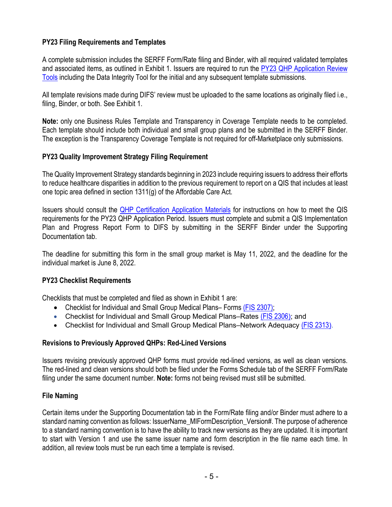### **PY23 Filing Requirements and Templates**

A complete submission includes the SERFF Form/Rate filing and Binder, with all required validated templates and associated items, as outlined in Exhibit 1. Issuers are required to run the PY23 [QHP Application Review](https://www.qhpcertification.cms.gov/s/Review%20Tools)  Tools [including the Data Integrity Tool](https://www.qhpcertification.cms.gov/s/Review%20Tools) for the initial and any subsequent template submissions.

All template revisions made during DIFS' review must be uploaded to the same locations as originally filed i.e., filing, Binder, or both. See Exhibit 1.

**Note:** only one Business Rules Template and Transparency in Coverage Template needs to be completed. Each template should include both individual and small group plans and be submitted in the SERFF Binder. The exception is the Transparency Coverage Template is not required for off-Marketplace only submissions.

### **PY23 Quality Improvement Strategy Filing Requirement**

The Quality Improvement Strategy standards beginning in 2023 include requiring issuers to address their efforts to reduce healthcare disparities in addition to the previous requirement to report on a QIS that includes at least one topic area defined in section 1311(g) of the Affordable Care Act.

Issuers should consult the [QHP Certification Application Materials](https://www.qhpcertification.cms.gov/s/Application%20Materials) for instructions on how to meet the QIS requirements for the PY23 QHP Application Period. Issuers must complete and submit a QIS Implementation Plan and Progress Report Form to DIFS by submitting in the SERFF Binder under the Supporting Documentation tab.

The deadline for submitting this form in the small group market is May 11, 2022, and the deadline for the individual market is June 8, 2022.

#### **PY23 Checklist Requirements**

Checklists that must be completed and filed as shown in Exhibit 1 are:

- Checklist for Individual and Small Group Medical Plans– Forms [\(FIS 2307\);](https://www.michigan.gov/difs/-/media/Project/Websites/difs/Form/Insurance/Insurance/FIS_2307.docx?rev=d7601beea21747828356041c1c5fc1dc)
- Checklist for Individual and Small Group Medical Plans–Rates [\(FIS 2306](https://www.michigan.gov/difs/-/media/Project/Websites/difs/Form/Insurance/Insurance/FIS_2306.docm?rev=d2a4696556214a7a90015ce9b9786813)); and
- Checklist for Individual and Small Group Medical Plans–Network Adequacy [\(FIS 2313](https://www.michigan.gov/difs/-/media/Project/Websites/difs/Form/Insurance/Insurance/FIS_2313.docx?rev=dfaef51aea524323a7dfad615081f590)).

### **Revisions to Previously Approved QHPs: Red-Lined Versions**

Issuers revising previously approved QHP forms must provide red-lined versions, as well as clean versions. The red-lined and clean versions should both be filed under the Forms Schedule tab of the SERFF Form/Rate filing under the same document number. **Note:** forms not being revised must still be submitted.

### **File Naming**

Certain items under the Supporting Documentation tab in the Form/Rate filing and/or Binder must adhere to a standard naming convention as follows: IssuerName\_MIFormDescription\_Version#. The purpose of adherence to a standard naming convention is to have the ability to track new versions as they are updated. It is important to start with Version 1 and use the same issuer name and form description in the file name each time. In addition, all review tools must be run each time a template is revised.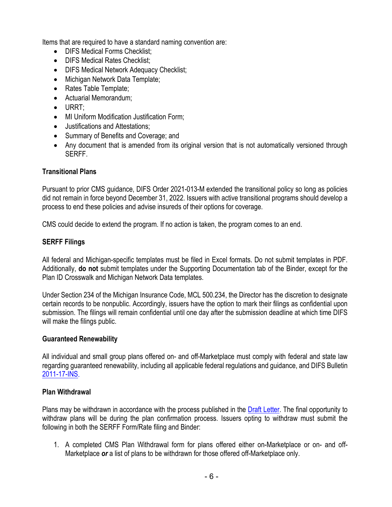Items that are required to have a standard naming convention are:

- **DIFS Medical Forms Checklist:**
- DIFS Medical Rates Checklist:
- DIFS Medical Network Adequacy Checklist;
- Michigan Network Data Template;
- Rates Table Template;
- Actuarial Memorandum;
- URRT;
- MI Uniform Modification Justification Form;
- Justifications and Attestations;
- Summary of Benefits and Coverage; and
- Any document that is amended from its original version that is not automatically versioned through SERFF.

### **Transitional Plans**

Pursuant to prior CMS guidance, DIFS Order 2021-013-M extended the transitional policy so long as policies did not remain in force beyond December 31, 2022. Issuers with active transitional programs should develop a process to end these policies and advise insureds of their options for coverage.

CMS could decide to extend the program. If no action is taken, the program comes to an end.

### **SERFF Filings**

All federal and Michigan-specific templates must be filed in Excel formats. Do not submit templates in PDF. Additionally, **do not** submit templates under the Supporting Documentation tab of the Binder, except for the Plan ID Crosswalk and Michigan Network Data templates.

Under Section 234 of the Michigan Insurance Code, MCL 500.234, the Director has the discretion to designate certain records to be nonpublic. Accordingly, issuers have the option to mark their filings as confidential upon submission. The filings will remain confidential until one day after the submission deadline at which time DIFS will make the filings public.

### **Guaranteed Renewability**

All individual and small group plans offered on- and off-Marketplace must comply with federal and state law regarding guaranteed renewability, including all applicable federal regulations and guidance, and DIFS Bulletin [2011-17-INS.](https://www.michigan.gov/difs/-/media/Project/Websites/difs/Bulletins/2011/Bulletin_2011-17-INS.pdf?rev=508db6d64b4541c0be3b4c0e56d79e02)

### **Plan Withdrawal**

Plans may be withdrawn in accordance with the process published in the [Draft Letter.](https://www.cms.gov/files/document/2023-draft-letter-issuers-508.pdf) The final opportunity to withdraw plans will be during the plan confirmation process. Issuers opting to withdraw must submit the following in both the SERFF Form/Rate filing and Binder:

1. A completed CMS Plan Withdrawal form for plans offered either on-Marketplace or on- and off-Marketplace *or* a list of plans to be withdrawn for those offered off-Marketplace only.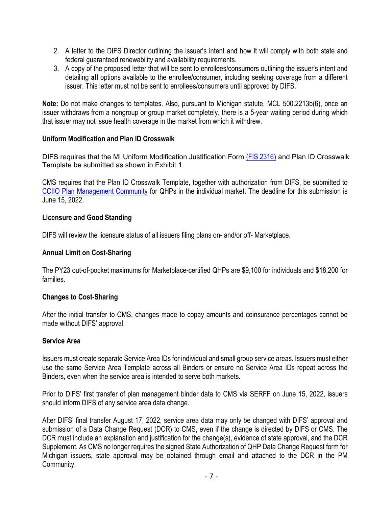- 2. A letter to the DIFS Director outlining the issuer's intent and how it will comply with both state and federal guaranteed renewability and availability requirements.
- 3. A copy of the proposed letter that will be sent to enrollees/consumers outlining the issuer's intent and detailing **all** options available to the enrollee/consumer, including seeking coverage from a different issuer. This letter must not be sent to enrollees/consumers until approved by DIFS.

**Note:** Do not make changes to templates. Also, pursuant to Michigan statute, MCL 500.2213b(6), once an issuer withdraws from a nongroup or group market completely, there is a 5-year waiting period during which that issuer may not issue health coverage in the market from which it withdrew.

### **Uniform Modification and Plan ID Crosswalk**

DIFS requires that the MI Uniform Modification Justification Form [\(FIS 2316](https://www.michigan.gov/difs/-/media/Project/Websites/difs/Form/Insurance/Insurance/FIS_2316.docx?rev=96c43a67421940aaa7113b93de5f7643)) and Plan ID Crosswalk Template be submitted as shown in Exhibit 1.

CMS requires that the Plan ID Crosswalk Template, together with authorization from DIFS, be submitted to [CCIIO Plan Management Community](https://www.qhpcertification.cms.gov/s/Plan%20Management%20Community) for QHPs in the individual market. The deadline for this submission is June 15, 2022.

### **Licensure and Good Standing**

DIFS will review the licensure status of all issuers filing plans on- and/or off- Marketplace.

### **Annual Limit on Cost-Sharing**

The PY23 out-of-pocket maximums for Marketplace-certified QHPs are \$9,100 for individuals and \$18,200 for families.

### **Changes to Cost-Sharing**

After the initial transfer to CMS, changes made to copay amounts and coinsurance percentages cannot be made without DIFS' approval.

### **Service Area**

Issuers must create separate Service Area IDs for individual and small group service areas. Issuers must either use the same Service Area Template across all Binders or ensure no Service Area IDs repeat across the Binders, even when the service area is intended to serve both markets.

Prior to DIFS' first transfer of plan management binder data to CMS via SERFF on June 15, 2022, issuers should inform DIFS of any service area data change.

After DIFS' final transfer August 17, 2022, service area data may only be changed with DIFS' approval and submission of a Data Change Request (DCR) to CMS, even if the change is directed by DIFS or CMS. The DCR must include an explanation and justification for the change(s), evidence of state approval, and the DCR Supplement. As CMS no longer requires the signed State Authorization of QHP Data Change Request form for Michigan issuers, state approval may be obtained through email and attached to the DCR in the PM Community.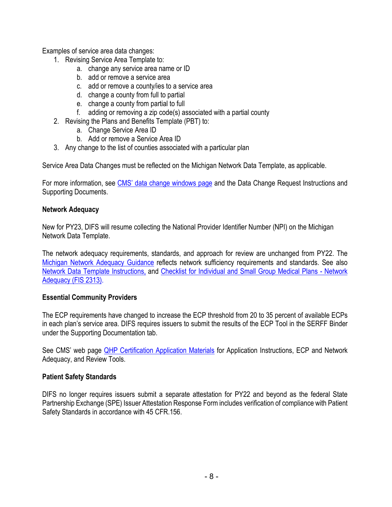Examples of service area data changes:

- 1. Revising Service Area Template to:
	- a. change any service area name or ID
	- b. add or remove a service area
	- c. add or remove a county/ies to a service area
	- d. change a county from full to partial
	- e. change a county from partial to full
	- f. adding or removing a zip code(s) associated with a partial county
- 2. Revising the Plans and Benefits Template (PBT) to:
	- a. Change Service Area ID
	- b. Add or remove a Service Area ID
- 3. Any change to the list of counties associated with a particular plan

Service Area Data Changes must be reflected on the Michigan Network Data Template, as applicable.

For more information, see [CMS' data change windows page](https://www.qhpcertification.cms.gov/s/Data%20Change%20Windows) and the Data Change Request Instructions and Supporting Documents.

### **Network Adequacy**

New for PY23, DIFS will resume collecting the National Provider Identifier Number (NPI) on the Michigan Network Data Template.

The network adequacy requirements, standards, and approach for review are unchanged from PY22. The [Michigan Network Adequacy Guidance](https://www.michigan.gov/difs/-/media/Project/Websites/difs/Form/Insurance/HMO/Network_Adequacy_Guidance.pdf?rev=e4666ad8d45a4350a046ba0ae7aec26d) reflects network sufficiency requirements and standards. See also [Network Data Template Instructions,](https://www.michigan.gov/difs/-/media/Project/Websites/difs/Form/Insurance/HMO/Network_Data_Template_Instructions.pdf?rev=0404f7959d21411d84300057d14cd7e8) and [Checklist for Individual and Small Group Medical Plans - Network](https://www.michigan.gov/difs/-/media/Project/Websites/difs/Form/Insurance/Insurance/FIS_2313.docx?rev=dfaef51aea524323a7dfad615081f590)  [Adequacy \(FIS 2313\).](https://www.michigan.gov/difs/-/media/Project/Websites/difs/Form/Insurance/Insurance/FIS_2313.docx?rev=dfaef51aea524323a7dfad615081f590)

### **Essential Community Providers**

The ECP requirements have changed to increase the ECP threshold from 20 to 35 percent of available ECPs in each plan's service area. DIFS requires issuers to submit the results of the ECP Tool in the SERFF Binder under the Supporting Documentation tab.

See CMS' web page [QHP Certification Application Materials](https://www.qhpcertification.cms.gov/s/Application%20Instructions) for Application Instructions, ECP and Network Adequacy, and Review Tools.

## **Patient Safety Standards**

DIFS no longer requires issuers submit a separate attestation for PY22 and beyond as the federal State Partnership Exchange (SPE) Issuer Attestation Response Form includes verification of compliance with Patient Safety Standards in accordance with 45 CFR.156.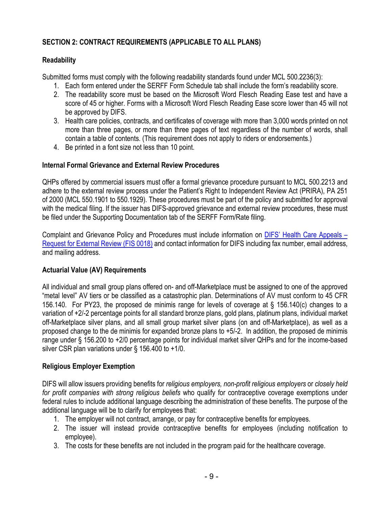# **SECTION 2: CONTRACT REQUIREMENTS (APPLICABLE TO ALL PLANS)**

## **Readability**

Submitted forms must comply with the following readability standards found under MCL 500.2236(3):

- 1. Each form entered under the SERFF Form Schedule tab shall include the form's readability score.
- 2. The readability score must be based on the Microsoft Word Flesch Reading Ease test and have a score of 45 or higher. Forms with a Microsoft Word Flesch Reading Ease score lower than 45 will not be approved by DIFS.
- 3. Health care policies, contracts, and certificates of coverage with more than 3,000 words printed on not more than three pages, or more than three pages of text regardless of the number of words, shall contain a table of contents. (This requirement does not apply to riders or endorsements.)
- 4. Be printed in a font size not less than 10 point.

## **Internal Formal Grievance and External Review Procedures**

QHPs offered by commercial issuers must offer a formal grievance procedure pursuant to MCL 500.2213 and adhere to the external review process under the Patient's Right to Independent Review Act (PRIRA), PA 251 of 2000 (MCL 550.1901 to 550.1929). These procedures must be part of the policy and submitted for approval with the medical filing. If the issuer has DIFS-approved grievance and external review procedures, these must be filed under the Supporting Documentation tab of the SERFF Form/Rate filing.

Complaint and Grievance Policy and Procedures must include information on [DIFS' Health Care Appeals –](https://difs.state.mi.us/Complaints/ExternalReview.aspx) [Request for External Review \(FIS 0018\)](https://difs.state.mi.us/Complaints/ExternalReview.aspx) and contact information for DIFS including fax number, email address, and mailing address.

## **Actuarial Value (AV) Requirements**

All individual and small group plans offered on- and off-Marketplace must be assigned to one of the approved "metal level" AV tiers or be classified as a catastrophic plan. Determinations of AV must conform to 45 CFR 156.140. For PY23, the proposed de minimis range for levels of coverage at § 156.140(c) changes to a variation of +2/-2 percentage points for all standard bronze plans, gold plans, platinum plans, individual market off-Marketplace silver plans, and all small group market silver plans (on and off-Marketplace), as well as a proposed change to the de minimis for expanded bronze plans to +5/-2. In addition, the proposed de minimis range under § 156.200 to +2/0 percentage points for individual market silver QHPs and for the income-based silver CSR plan variations under § 156.400 to +1/0.

## **Religious Employer Exemption**

DIFS will allow issuers providing benefits for *religious employers, non-profit religious employers* or *closely held for profit companies with strong religious beliefs* who qualify for contraceptive coverage exemptions under federal rules to include additional language describing the administration of these benefits. The purpose of the additional language will be to clarify for employees that:

- 1. The employer will not contract, arrange, or pay for contraceptive benefits for employees.
- 2. The issuer will instead provide contraceptive benefits for employees (including notification to employee).
- 3. The costs for these benefits are not included in the program paid for the healthcare coverage.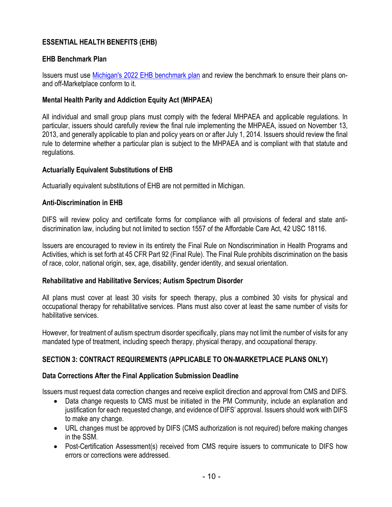# **ESSENTIAL HEALTH BENEFITS (EHB)**

### **EHB Benchmark Plan**

Issuers must use [Michigan's 2022 EHB benchmark plan](https://www.michigan.gov/difs/-/media/DAF2FE1BD1D54F4180FCE4C819ECA449.ashx) and review the benchmark to ensure their plans onand off-Marketplace conform to it.

### **Mental Health Parity and Addiction Equity Act (MHPAEA)**

All individual and small group plans must comply with the federal MHPAEA and applicable regulations. In particular, issuers should carefully review the final rule implementing the MHPAEA, issued on November 13, 2013, and generally applicable to plan and policy years on or after July 1, 2014. Issuers should review the final rule to determine whether a particular plan is subject to the MHPAEA and is compliant with that statute and regulations.

### **Actuarially Equivalent Substitutions of EHB**

Actuarially equivalent substitutions of EHB are not permitted in Michigan.

### **Anti-Discrimination in EHB**

DIFS will review policy and certificate forms for compliance with all provisions of federal and state antidiscrimination law, including but not limited to section 1557 of the Affordable Care Act, 42 USC 18116.

Issuers are encouraged to review in its entirety the Final Rule on Nondiscrimination in Health Programs and Activities, which is set forth at 45 CFR Part 92 (Final Rule). The Final Rule prohibits discrimination on the basis of race, color, national origin, sex, age, disability, gender identity, and sexual orientation.

### **Rehabilitative and Habilitative Services; Autism Spectrum Disorder**

All plans must cover at least 30 visits for speech therapy, plus a combined 30 visits for physical and occupational therapy for rehabilitative services. Plans must also cover at least the same number of visits for habilitative services.

However, for treatment of autism spectrum disorder specifically, plans may not limit the number of visits for any mandated type of treatment, including speech therapy, physical therapy, and occupational therapy.

## **SECTION 3: CONTRACT REQUIREMENTS (APPLICABLE TO ON-MARKETPLACE PLANS ONLY)**

### **Data Corrections After the Final Application Submission Deadline**

Issuers must request data correction changes and receive explicit direction and approval from CMS and DIFS.

- Data change requests to CMS must be initiated in the PM Community, include an explanation and justification for each requested change, and evidence of DIFS' approval. Issuers should work with DIFS to make any change.
- URL changes must be approved by DIFS (CMS authorization is not required) before making changes in the SSM.
- Post-Certification Assessment(s) received from CMS require issuers to communicate to DIFS how errors or corrections were addressed.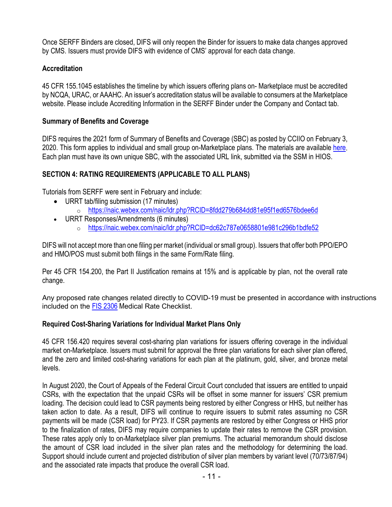Once SERFF Binders are closed, DIFS will only reopen the Binder for issuers to make data changes approved by CMS. Issuers must provide DIFS with evidence of CMS' approval for each data change.

# **Accreditation**

45 CFR 155.1045 establishes the timeline by which issuers offering plans on- Marketplace must be accredited by NCQA, URAC, or AAAHC. An issuer's accreditation status will be available to consumers at the Marketplace website. Please include Accrediting Information in the SERFF Binder under the Company and Contact tab.

## **Summary of Benefits and Coverage**

DIFS requires the 2021 form of Summary of Benefits and Coverage (SBC) as posted by CCIIO on February 3, 2020. This form applies to individual and small group on-Marketplace plans. The materials are available [here.](https://www.cms.gov/CCIIO/Resources/Forms-Reports-and-Other-Resources) Each plan must have its own unique SBC, with the associated URL link, submitted via the SSM in HIOS.

# **SECTION 4: RATING REQUIREMENTS (APPLICABLE TO ALL PLANS)**

Tutorials from SERFF were sent in February and include:

- URRT tab/filing submission (17 minutes)
	- o [https://naic.webex.com/naic/ldr.php?RCID=8fdd279b684dd81e95f1ed6576bdee6d](https://gcc02.safelinks.protection.outlook.com/?url=https%3A%2F%2Fnaic.webex.com%2Fnaic%2Fldr.php%3FRCID%3D8fdd279b684dd81e95f1ed6576bdee6d&data=04%7C01%7CSchumakerR%40michigan.gov%7C1c18b3fe3e424fc1a5fb08d9efcf9483%7Cd5fb7087377742ad966a892ef47225d1%7C0%7C0%7C637804497358591016%7CUnknown%7CTWFpbGZsb3d8eyJWIjoiMC4wLjAwMDAiLCJQIjoiV2luMzIiLCJBTiI6Ik1haWwiLCJXVCI6Mn0%3D%7C3000&sdata=i6VwrojGGgtzJrp52Lbx%2BwmQteqCR5hJ3Gp2jh%2FShhU%3D&reserved=0)
- URRT Responses/Amendments (6 minutes)
	- o <https://naic.webex.com/naic/ldr.php?RCID=dc62c787e0658801e981c296b1bdfe52>

DIFS will not accept more than one filing per market (individual or small group). Issuers that offer both PPO/EPO and HMO/POS must submit both filings in the same Form/Rate filing.

Per 45 CFR 154.200, the Part II Justification remains at 15% and is applicable by plan, not the overall rate change.

Any proposed rate changes related directly to COVID-19 must be presented in accordance with instructions included on the [FIS 2306](https://www.michigan.gov/difs/-/media/Project/Websites/difs/Form/Insurance/Insurance/FIS_2306.docm?rev=d2a4696556214a7a90015ce9b9786813) Medical Rate Checklist.

## **Required Cost-Sharing Variations for Individual Market Plans Only**

45 CFR 156.420 requires several cost-sharing plan variations for issuers offering coverage in the individual market on-Marketplace. Issuers must submit for approval the three plan variations for each silver plan offered, and the zero and limited cost-sharing variations for each plan at the platinum, gold, silver, and bronze metal levels.

In August 2020, the Court of Appeals of the Federal Circuit Court concluded that issuers are entitled to unpaid CSRs, with the expectation that the unpaid CSRs will be offset in some manner for issuers' CSR premium loading. The decision could lead to CSR payments being restored by either Congress or HHS, but neither has taken action to date. As a result, DIFS will continue to require issuers to submit rates assuming no CSR payments will be made (CSR load) for PY23. If CSR payments are restored by either Congress or HHS prior to the finalization of rates, DIFS may require companies to update their rates to remove the CSR provision. These rates apply only to on-Marketplace silver plan premiums. The actuarial memorandum should disclose the amount of CSR load included in the silver plan rates and the methodology for determining the load. Support should include current and projected distribution of silver plan members by variant level (70/73/87/94) and the associated rate impacts that produce the overall CSR load.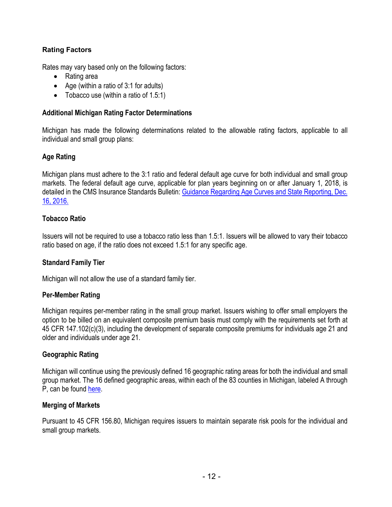## **Rating Factors**

Rates may vary based only on the following factors:

- Rating area
- Age (within a ratio of 3:1 for adults)
- Tobacco use (within a ratio of 1.5:1)

### **Additional Michigan Rating Factor Determinations**

Michigan has made the following determinations related to the allowable rating factors, applicable to all individual and small group plans:

### **Age Rating**

Michigan plans must adhere to the 3:1 ratio and federal default age curve for both individual and small group markets. The federal default age curve, applicable for plan years beginning on or after January 1, 2018, is detailed in the CMS Insurance Standards Bulletin: [Guidance Regarding Age Curves and State Reporting, Dec.](https://www.cms.gov/CCIIO/Resources/Regulations-and-Guidance/Downloads/Final-Guidance-Regarding-Age-Curves-and-State-Reporting-12-16-16.pdf)  [16,](https://www.cms.gov/CCIIO/Resources/Regulations-and-Guidance/Downloads/Final-Guidance-Regarding-Age-Curves-and-State-Reporting-12-16-16.pdf) [2016.](https://www.cms.gov/CCIIO/Resources/Regulations-and-Guidance/Downloads/Final-Guidance-Regarding-Age-Curves-and-State-Reporting-12-16-16.pdf)

### **Tobacco Ratio**

Issuers will not be required to use a tobacco ratio less than 1.5:1. Issuers will be allowed to vary their tobacco ratio based on age, if the ratio does not exceed 1.5:1 for any specific age.

### **Standard Family Tier**

Michigan will not allow the use of a standard family tier.

### **Per-Member Rating**

Michigan requires per-member rating in the small group market. Issuers wishing to offer small employers the option to be billed on an equivalent composite premium basis must comply with the requirements set forth at 45 CFR 147.102(c)(3), including the development of separate composite premiums for individuals age 21 and older and individuals under age 21.

### **Geographic Rating**

Michigan will continue using the previously defined 16 geographic rating areas for both the individual and small group market. The 16 defined geographic areas, within each of the 83 counties in Michigan, labeled A through P, can be foun[d here.](https://www.michigan.gov/difs/-/media/5B58079C65844335B2E7ABCA2527E343.ashx)

#### **Merging of Markets**

Pursuant to 45 CFR 156.80, Michigan requires issuers to maintain separate risk pools for the individual and small group markets.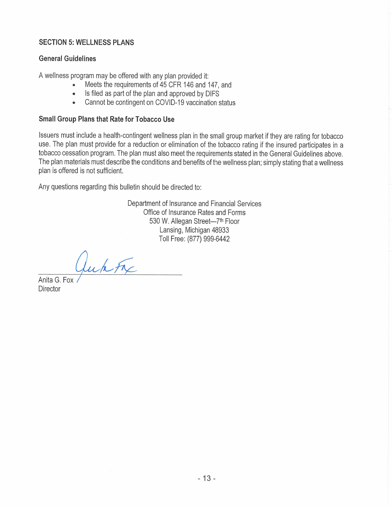### **SECTION 5: WELLNESS PLANS**

#### **General Guidelines**

A wellness program may be offered with any plan provided it:

- Meets the requirements of 45 CFR 146 and 147, and
- Is filed as part of the plan and approved by DIFS  $\bullet$
- Cannot be contingent on COVID-19 vaccination status  $\bullet$

#### **Small Group Plans that Rate for Tobacco Use**

Issuers must include a health-contingent wellness plan in the small group market if they are rating for tobacco use. The plan must provide for a reduction or elimination of the tobacco rating if the insured participates in a tobacco cessation program. The plan must also meet the requirements stated in the General Guidelines above. The plan materials must describe the conditions and benefits of the wellness plan; simply stating that a wellness plan is offered is not sufficient.

Any questions regarding this bulletin should be directed to:

Department of Insurance and Financial Services Office of Insurance Rates and Forms 530 W. Allegan Street-7th Floor Lansing, Michigan 48933 Toll Free: (877) 999-6442

Juk Fre

Anita G. Fox **Director**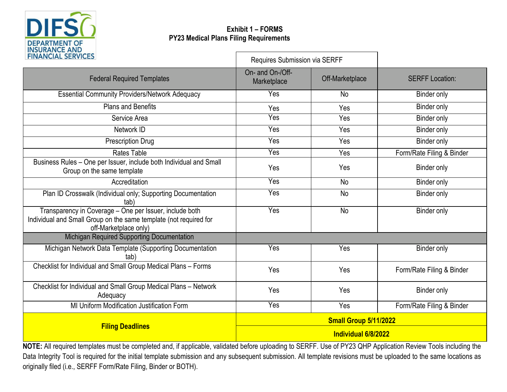

# **Exhibit 1 – FORMS PY23 Medical Plans Filing Requirements**

| <b>FINANCIAL SERVICES</b>                                                                                                                             | Requires Submission via SERFF   |                 |                           |  |
|-------------------------------------------------------------------------------------------------------------------------------------------------------|---------------------------------|-----------------|---------------------------|--|
| <b>Federal Required Templates</b>                                                                                                                     | On- and On-/Off-<br>Marketplace | Off-Marketplace | <b>SERFF Location:</b>    |  |
| <b>Essential Community Providers/Network Adequacy</b>                                                                                                 | Yes                             | No              | Binder only               |  |
| <b>Plans and Benefits</b>                                                                                                                             | Yes                             | Yes             | <b>Binder only</b>        |  |
| Service Area                                                                                                                                          | Yes                             | Yes             | <b>Binder only</b>        |  |
| Network ID                                                                                                                                            | Yes                             | Yes             | <b>Binder only</b>        |  |
| <b>Prescription Drug</b>                                                                                                                              | Yes                             | Yes             | Binder only               |  |
| <b>Rates Table</b>                                                                                                                                    | Yes                             | Yes             | Form/Rate Filing & Binder |  |
| Business Rules - One per Issuer, include both Individual and Small<br>Group on the same template                                                      | Yes                             | Yes             | <b>Binder only</b>        |  |
| Accreditation                                                                                                                                         | Yes                             | <b>No</b>       | Binder only               |  |
| Plan ID Crosswalk (Individual only; Supporting Documentation<br>(tab                                                                                  | Yes                             | <b>No</b>       | <b>Binder only</b>        |  |
| Transparency in Coverage - One per Issuer, include both<br>Individual and Small Group on the same template (not required for<br>off-Marketplace only) | Yes                             | <b>No</b>       | <b>Binder only</b>        |  |
| Michigan Required Supporting Documentation                                                                                                            |                                 |                 |                           |  |
| Michigan Network Data Template (Supporting Documentation<br>tab)                                                                                      | Yes                             | Yes             | <b>Binder only</b>        |  |
| Checklist for Individual and Small Group Medical Plans - Forms                                                                                        | Yes                             | Yes             | Form/Rate Filing & Binder |  |
| Checklist for Individual and Small Group Medical Plans - Network<br>Adequacy                                                                          | Yes                             | Yes             | <b>Binder only</b>        |  |
| MI Uniform Modification Justification Form                                                                                                            | Yes                             | Yes             | Form/Rate Filing & Binder |  |
| <b>Filing Deadlines</b>                                                                                                                               | Small Group 5/11/2022           |                 |                           |  |
|                                                                                                                                                       | Individual 6/8/2022             |                 |                           |  |

**NOTE:** All required templates must be completed and, if applicable, validated before uploading to SERFF. Use of PY23 QHP Application Review Tools including the Data Integrity Tool is required for the initial template submission and any subsequent submission. All template revisions must be uploaded to the same locations as originally filed (i.e., SERFF Form/Rate Filing, Binder or BOTH).